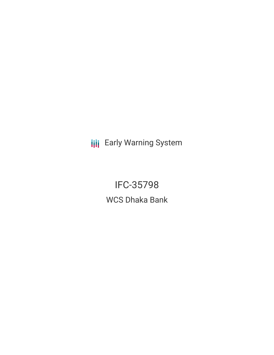**III** Early Warning System

IFC-35798 WCS Dhaka Bank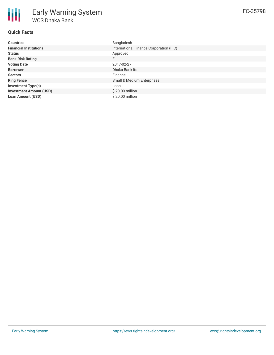# **Quick Facts**

| <b>Countries</b>               | Bangladesh                              |
|--------------------------------|-----------------------------------------|
| <b>Financial Institutions</b>  | International Finance Corporation (IFC) |
| <b>Status</b>                  | Approved                                |
| <b>Bank Risk Rating</b>        | FI                                      |
| <b>Voting Date</b>             | 2017-02-27                              |
| <b>Borrower</b>                | Dhaka Bank Itd.                         |
| <b>Sectors</b>                 | Finance                                 |
| <b>Ring Fence</b>              | Small & Medium Enterprises              |
| <b>Investment Type(s)</b>      | Loan                                    |
| <b>Investment Amount (USD)</b> | $$20.00$ million                        |
| <b>Loan Amount (USD)</b>       | $$20.00$ million                        |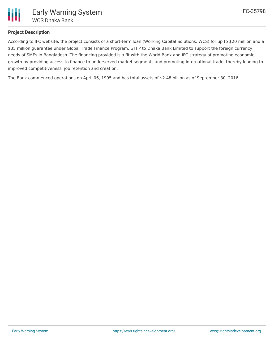

# **Project Description**

According to IFC website, the project consists of a short-term loan (Working Capital Solutions, WCS) for up to \$20 million and a \$35 million guarantee under Global Trade Finance Program, GTFP to Dhaka Bank Limited to support the foreign currency needs of SMEs in Bangladesh. The financing provided is a fit with the World Bank and IFC strategy of promoting economic growth by providing access to finance to underserved market segments and promoting international trade, thereby leading to improved competitiveness, job retention and creation.

The Bank commenced operations on April 06, 1995 and has total assets of \$2.48 billion as of September 30, 2016.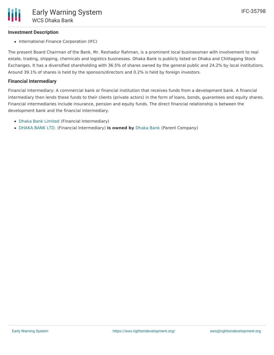### **Investment Description**

• International Finance Corporation (IFC)

The present Board Chairman of the Bank, Mr. Reshadur Rahman, is a prominent local businessman with involvement to real estate, trading, shipping, chemicals and logistics businesses. Dhaka Bank is publicly listed on Dhaka and Chittagong Stock Exchanges. It has a diversified shareholding with 36.5% of shares owned by the general public and 24.2% by local institutions. Around 39.1% of shares is held by the sponsors/directors and 0.2% is held by foreign investors.

#### **Financial Intermediary**

Financial Intermediary: A commercial bank or financial institution that receives funds from a development bank. A financial intermediary then lends these funds to their clients (private actors) in the form of loans, bonds, guarantees and equity shares. Financial intermediaries include insurance, pension and equity funds. The direct financial relationship is between the development bank and the financial intermediary.

- Dhaka Bank [Limited](file:///actor/188/) (Financial Intermediary)
- [DHAKA](file:///actor/3518/) BANK LTD. (Financial Intermediary) **is owned by** [Dhaka](file:///actor/3580/) Bank (Parent Company)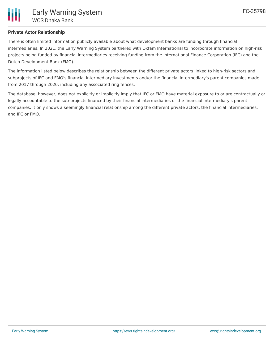## **Private Actor Relationship**

There is often limited information publicly available about what development banks are funding through financial intermediaries. In 2021, the Early Warning System partnered with Oxfam International to incorporate information on high-risk projects being funded by financial intermediaries receiving funding from the International Finance Corporation (IFC) and the Dutch Development Bank (FMO).

The information listed below describes the relationship between the different private actors linked to high-risk sectors and subprojects of IFC and FMO's financial intermediary investments and/or the financial intermediary's parent companies made from 2017 through 2020, including any associated ring fences.

The database, however, does not explicitly or implicitly imply that IFC or FMO have material exposure to or are contractually or legally accountable to the sub-projects financed by their financial intermediaries or the financial intermediary's parent companies. It only shows a seemingly financial relationship among the different private actors, the financial intermediaries, and IFC or FMO.